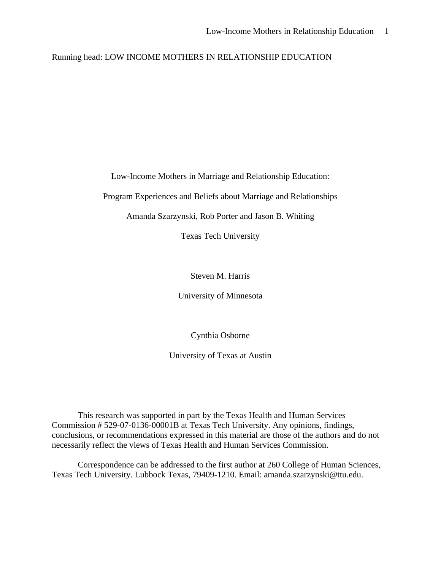Running head: LOW INCOME MOTHERS IN RELATIONSHIP EDUCATION

Low-Income Mothers in Marriage and Relationship Education:

Program Experiences and Beliefs about Marriage and Relationships

Amanda Szarzynski, Rob Porter and Jason B. Whiting

Texas Tech University

Steven M. Harris

University of Minnesota

Cynthia Osborne

University of Texas at Austin

This research was supported in part by the Texas Health and Human Services Commission # 529-07-0136-00001B at Texas Tech University. Any opinions, findings, conclusions, or recommendations expressed in this material are those of the authors and do not necessarily reflect the views of Texas Health and Human Services Commission.

Correspondence can be addressed to the first author at 260 College of Human Sciences, Texas Tech University. Lubbock Texas, 79409-1210. Email: amanda.szarzynski@ttu.edu.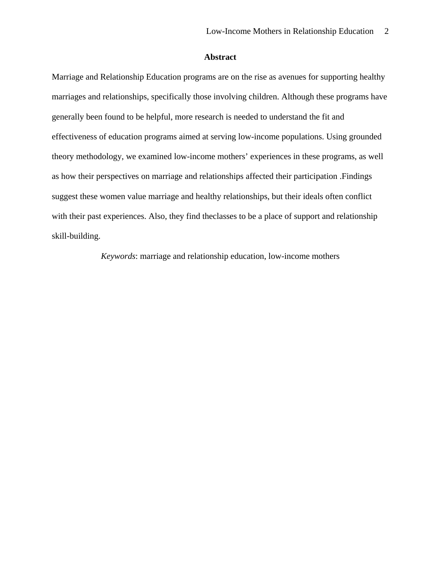### **Abstract**

Marriage and Relationship Education programs are on the rise as avenues for supporting healthy marriages and relationships, specifically those involving children. Although these programs have generally been found to be helpful, more research is needed to understand the fit and effectiveness of education programs aimed at serving low-income populations. Using grounded theory methodology, we examined low-income mothers' experiences in these programs, as well as how their perspectives on marriage and relationships affected their participation .Findings suggest these women value marriage and healthy relationships, but their ideals often conflict with their past experiences. Also, they find theclasses to be a place of support and relationship skill-building.

*Keywords*: marriage and relationship education, low-income mothers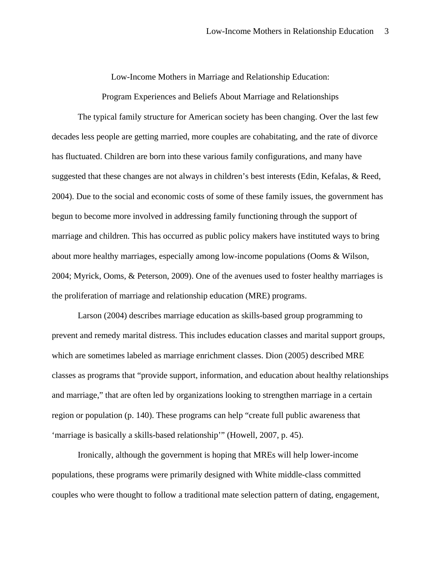Low-Income Mothers in Marriage and Relationship Education:

Program Experiences and Beliefs About Marriage and Relationships

 The typical family structure for American society has been changing. Over the last few decades less people are getting married, more couples are cohabitating, and the rate of divorce has fluctuated. Children are born into these various family configurations, and many have suggested that these changes are not always in children's best interests (Edin, Kefalas, & Reed, 2004). Due to the social and economic costs of some of these family issues, the government has begun to become more involved in addressing family functioning through the support of marriage and children. This has occurred as public policy makers have instituted ways to bring about more healthy marriages, especially among low-income populations (Ooms & Wilson, 2004; Myrick, Ooms, & Peterson, 2009). One of the avenues used to foster healthy marriages is the proliferation of marriage and relationship education (MRE) programs.

 Larson (2004) describes marriage education as skills-based group programming to prevent and remedy marital distress. This includes education classes and marital support groups, which are sometimes labeled as marriage enrichment classes. Dion (2005) described MRE classes as programs that "provide support, information, and education about healthy relationships and marriage," that are often led by organizations looking to strengthen marriage in a certain region or population (p. 140). These programs can help "create full public awareness that 'marriage is basically a skills-based relationship'" (Howell, 2007, p. 45).

Ironically, although the government is hoping that MREs will help lower-income populations, these programs were primarily designed with White middle-class committed couples who were thought to follow a traditional mate selection pattern of dating, engagement,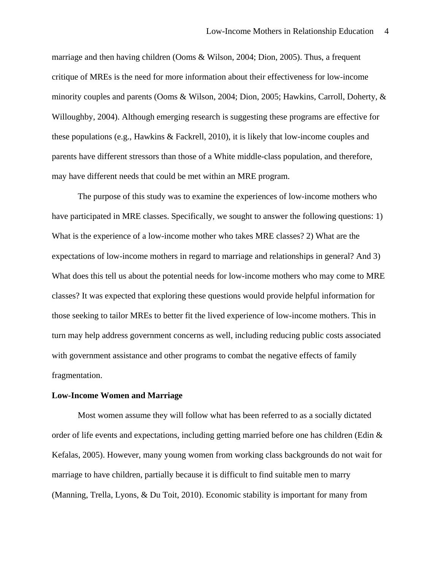marriage and then having children (Ooms & Wilson, 2004; Dion, 2005). Thus, a frequent critique of MREs is the need for more information about their effectiveness for low-income minority couples and parents (Ooms & Wilson, 2004; Dion, 2005; Hawkins, Carroll, Doherty, & Willoughby, 2004). Although emerging research is suggesting these programs are effective for these populations (e.g., Hawkins & Fackrell, 2010), it is likely that low-income couples and parents have different stressors than those of a White middle-class population, and therefore, may have different needs that could be met within an MRE program.

The purpose of this study was to examine the experiences of low-income mothers who have participated in MRE classes. Specifically, we sought to answer the following questions: 1) What is the experience of a low-income mother who takes MRE classes? 2) What are the expectations of low-income mothers in regard to marriage and relationships in general? And 3) What does this tell us about the potential needs for low-income mothers who may come to MRE classes? It was expected that exploring these questions would provide helpful information for those seeking to tailor MREs to better fit the lived experience of low-income mothers. This in turn may help address government concerns as well, including reducing public costs associated with government assistance and other programs to combat the negative effects of family fragmentation.

#### **Low-Income Women and Marriage**

 Most women assume they will follow what has been referred to as a socially dictated order of life events and expectations, including getting married before one has children (Edin & Kefalas, 2005). However, many young women from working class backgrounds do not wait for marriage to have children, partially because it is difficult to find suitable men to marry (Manning, Trella, Lyons, & Du Toit, 2010). Economic stability is important for many from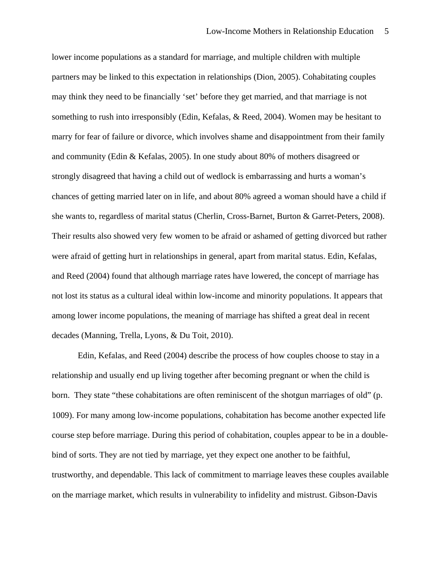lower income populations as a standard for marriage, and multiple children with multiple partners may be linked to this expectation in relationships (Dion, 2005). Cohabitating couples may think they need to be financially 'set' before they get married, and that marriage is not something to rush into irresponsibly (Edin, Kefalas, & Reed, 2004). Women may be hesitant to marry for fear of failure or divorce, which involves shame and disappointment from their family and community (Edin & Kefalas, 2005). In one study about 80% of mothers disagreed or strongly disagreed that having a child out of wedlock is embarrassing and hurts a woman's chances of getting married later on in life, and about 80% agreed a woman should have a child if she wants to, regardless of marital status (Cherlin, Cross-Barnet, Burton & Garret-Peters, 2008). Their results also showed very few women to be afraid or ashamed of getting divorced but rather were afraid of getting hurt in relationships in general, apart from marital status. Edin, Kefalas, and Reed (2004) found that although marriage rates have lowered, the concept of marriage has not lost its status as a cultural ideal within low-income and minority populations. It appears that among lower income populations, the meaning of marriage has shifted a great deal in recent decades (Manning, Trella, Lyons, & Du Toit, 2010).

 Edin, Kefalas, and Reed (2004) describe the process of how couples choose to stay in a relationship and usually end up living together after becoming pregnant or when the child is born. They state "these cohabitations are often reminiscent of the shotgun marriages of old" (p. 1009). For many among low-income populations, cohabitation has become another expected life course step before marriage. During this period of cohabitation, couples appear to be in a doublebind of sorts. They are not tied by marriage, yet they expect one another to be faithful, trustworthy, and dependable. This lack of commitment to marriage leaves these couples available on the marriage market, which results in vulnerability to infidelity and mistrust. Gibson-Davis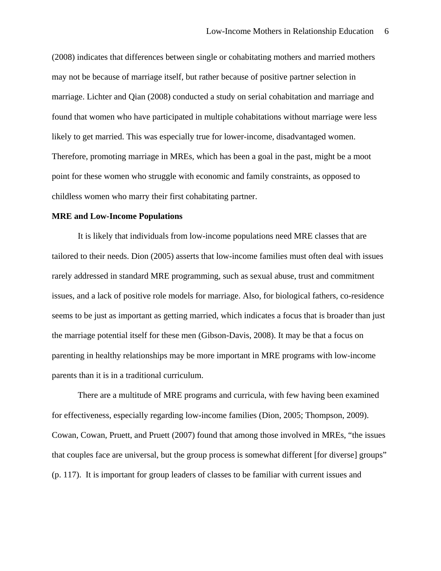(2008) indicates that differences between single or cohabitating mothers and married mothers may not be because of marriage itself, but rather because of positive partner selection in marriage. Lichter and Qian (2008) conducted a study on serial cohabitation and marriage and found that women who have participated in multiple cohabitations without marriage were less likely to get married. This was especially true for lower-income, disadvantaged women. Therefore, promoting marriage in MREs, which has been a goal in the past, might be a moot point for these women who struggle with economic and family constraints, as opposed to childless women who marry their first cohabitating partner.

### **MRE and Low-Income Populations**

It is likely that individuals from low-income populations need MRE classes that are tailored to their needs. Dion (2005) asserts that low-income families must often deal with issues rarely addressed in standard MRE programming, such as sexual abuse, trust and commitment issues, and a lack of positive role models for marriage. Also, for biological fathers, co-residence seems to be just as important as getting married, which indicates a focus that is broader than just the marriage potential itself for these men (Gibson-Davis, 2008). It may be that a focus on parenting in healthy relationships may be more important in MRE programs with low-income parents than it is in a traditional curriculum.

 There are a multitude of MRE programs and curricula, with few having been examined for effectiveness, especially regarding low-income families (Dion, 2005; Thompson, 2009). Cowan, Cowan, Pruett, and Pruett (2007) found that among those involved in MREs, "the issues that couples face are universal, but the group process is somewhat different [for diverse] groups" (p. 117). It is important for group leaders of classes to be familiar with current issues and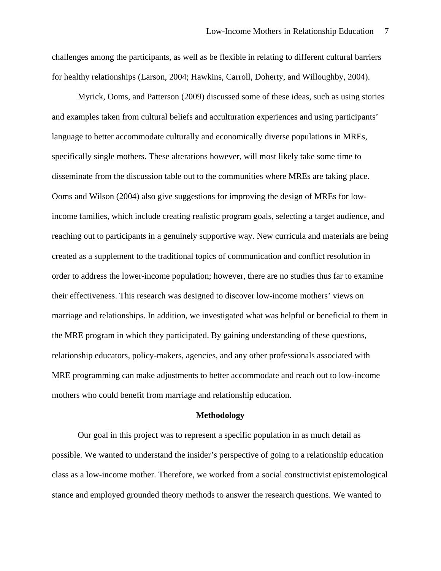challenges among the participants, as well as be flexible in relating to different cultural barriers for healthy relationships (Larson, 2004; Hawkins, Carroll, Doherty, and Willoughby, 2004).

Myrick, Ooms, and Patterson (2009) discussed some of these ideas, such as using stories and examples taken from cultural beliefs and acculturation experiences and using participants' language to better accommodate culturally and economically diverse populations in MREs, specifically single mothers. These alterations however, will most likely take some time to disseminate from the discussion table out to the communities where MREs are taking place. Ooms and Wilson (2004) also give suggestions for improving the design of MREs for lowincome families, which include creating realistic program goals, selecting a target audience, and reaching out to participants in a genuinely supportive way. New curricula and materials are being created as a supplement to the traditional topics of communication and conflict resolution in order to address the lower-income population; however, there are no studies thus far to examine their effectiveness. This research was designed to discover low-income mothers' views on marriage and relationships. In addition, we investigated what was helpful or beneficial to them in the MRE program in which they participated. By gaining understanding of these questions, relationship educators, policy-makers, agencies, and any other professionals associated with MRE programming can make adjustments to better accommodate and reach out to low-income mothers who could benefit from marriage and relationship education.

#### **Methodology**

 Our goal in this project was to represent a specific population in as much detail as possible. We wanted to understand the insider's perspective of going to a relationship education class as a low-income mother. Therefore, we worked from a social constructivist epistemological stance and employed grounded theory methods to answer the research questions. We wanted to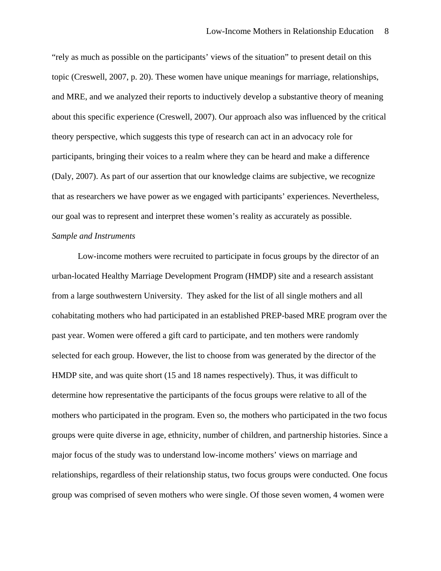"rely as much as possible on the participants' views of the situation" to present detail on this topic (Creswell, 2007, p. 20). These women have unique meanings for marriage, relationships, and MRE, and we analyzed their reports to inductively develop a substantive theory of meaning about this specific experience (Creswell, 2007). Our approach also was influenced by the critical theory perspective, which suggests this type of research can act in an advocacy role for participants, bringing their voices to a realm where they can be heard and make a difference (Daly, 2007). As part of our assertion that our knowledge claims are subjective, we recognize that as researchers we have power as we engaged with participants' experiences. Nevertheless, our goal was to represent and interpret these women's reality as accurately as possible.

# *Sample and Instruments*

 Low-income mothers were recruited to participate in focus groups by the director of an urban-located Healthy Marriage Development Program (HMDP) site and a research assistant from a large southwestern University. They asked for the list of all single mothers and all cohabitating mothers who had participated in an established PREP-based MRE program over the past year. Women were offered a gift card to participate, and ten mothers were randomly selected for each group. However, the list to choose from was generated by the director of the HMDP site, and was quite short (15 and 18 names respectively). Thus, it was difficult to determine how representative the participants of the focus groups were relative to all of the mothers who participated in the program. Even so, the mothers who participated in the two focus groups were quite diverse in age, ethnicity, number of children, and partnership histories. Since a major focus of the study was to understand low-income mothers' views on marriage and relationships, regardless of their relationship status, two focus groups were conducted. One focus group was comprised of seven mothers who were single. Of those seven women, 4 women were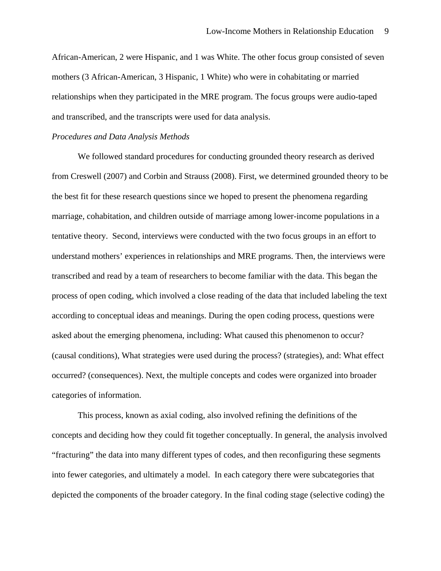African-American, 2 were Hispanic, and 1 was White. The other focus group consisted of seven mothers (3 African-American, 3 Hispanic, 1 White) who were in cohabitating or married relationships when they participated in the MRE program. The focus groups were audio-taped and transcribed, and the transcripts were used for data analysis.

#### *Procedures and Data Analysis Methods*

We followed standard procedures for conducting grounded theory research as derived from Creswell (2007) and Corbin and Strauss (2008). First, we determined grounded theory to be the best fit for these research questions since we hoped to present the phenomena regarding marriage, cohabitation, and children outside of marriage among lower-income populations in a tentative theory. Second, interviews were conducted with the two focus groups in an effort to understand mothers' experiences in relationships and MRE programs. Then, the interviews were transcribed and read by a team of researchers to become familiar with the data. This began the process of open coding, which involved a close reading of the data that included labeling the text according to conceptual ideas and meanings. During the open coding process, questions were asked about the emerging phenomena, including: What caused this phenomenon to occur? (causal conditions), What strategies were used during the process? (strategies), and: What effect occurred? (consequences). Next, the multiple concepts and codes were organized into broader categories of information.

This process, known as axial coding, also involved refining the definitions of the concepts and deciding how they could fit together conceptually. In general, the analysis involved "fracturing" the data into many different types of codes, and then reconfiguring these segments into fewer categories, and ultimately a model. In each category there were subcategories that depicted the components of the broader category. In the final coding stage (selective coding) the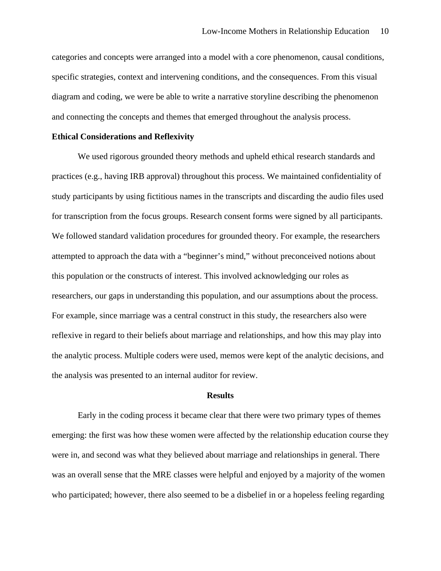categories and concepts were arranged into a model with a core phenomenon, causal conditions, specific strategies, context and intervening conditions, and the consequences. From this visual diagram and coding, we were be able to write a narrative storyline describing the phenomenon and connecting the concepts and themes that emerged throughout the analysis process.

#### **Ethical Considerations and Reflexivity**

 We used rigorous grounded theory methods and upheld ethical research standards and practices (e.g., having IRB approval) throughout this process. We maintained confidentiality of study participants by using fictitious names in the transcripts and discarding the audio files used for transcription from the focus groups. Research consent forms were signed by all participants. We followed standard validation procedures for grounded theory. For example, the researchers attempted to approach the data with a "beginner's mind," without preconceived notions about this population or the constructs of interest. This involved acknowledging our roles as researchers, our gaps in understanding this population, and our assumptions about the process. For example, since marriage was a central construct in this study, the researchers also were reflexive in regard to their beliefs about marriage and relationships, and how this may play into the analytic process. Multiple coders were used, memos were kept of the analytic decisions, and the analysis was presented to an internal auditor for review.

#### **Results**

 Early in the coding process it became clear that there were two primary types of themes emerging: the first was how these women were affected by the relationship education course they were in, and second was what they believed about marriage and relationships in general. There was an overall sense that the MRE classes were helpful and enjoyed by a majority of the women who participated; however, there also seemed to be a disbelief in or a hopeless feeling regarding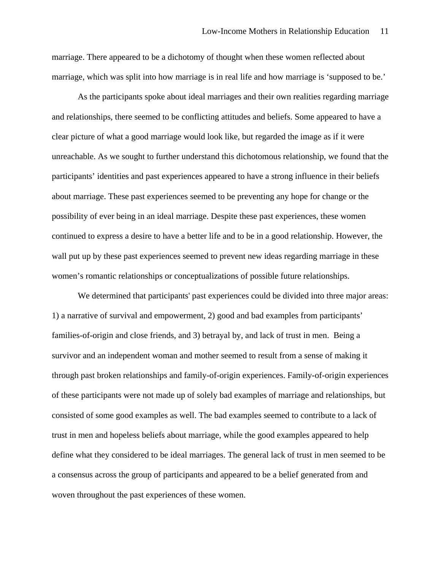marriage. There appeared to be a dichotomy of thought when these women reflected about marriage, which was split into how marriage is in real life and how marriage is 'supposed to be.'

 As the participants spoke about ideal marriages and their own realities regarding marriage and relationships, there seemed to be conflicting attitudes and beliefs. Some appeared to have a clear picture of what a good marriage would look like, but regarded the image as if it were unreachable. As we sought to further understand this dichotomous relationship, we found that the participants' identities and past experiences appeared to have a strong influence in their beliefs about marriage. These past experiences seemed to be preventing any hope for change or the possibility of ever being in an ideal marriage. Despite these past experiences, these women continued to express a desire to have a better life and to be in a good relationship. However, the wall put up by these past experiences seemed to prevent new ideas regarding marriage in these women's romantic relationships or conceptualizations of possible future relationships.

 We determined that participants' past experiences could be divided into three major areas: 1) a narrative of survival and empowerment, 2) good and bad examples from participants' families-of-origin and close friends, and 3) betrayal by, and lack of trust in men. Being a survivor and an independent woman and mother seemed to result from a sense of making it through past broken relationships and family-of-origin experiences. Family-of-origin experiences of these participants were not made up of solely bad examples of marriage and relationships, but consisted of some good examples as well. The bad examples seemed to contribute to a lack of trust in men and hopeless beliefs about marriage, while the good examples appeared to help define what they considered to be ideal marriages. The general lack of trust in men seemed to be a consensus across the group of participants and appeared to be a belief generated from and woven throughout the past experiences of these women.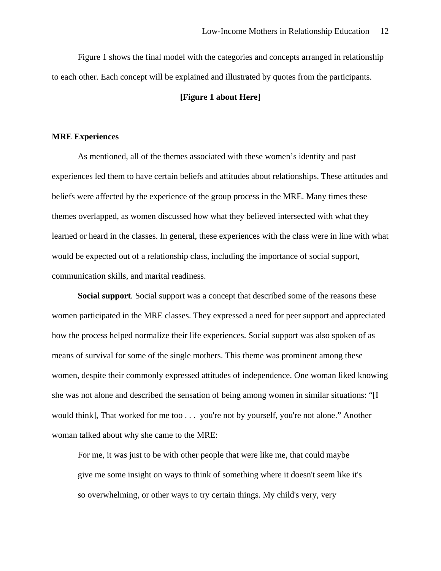Figure 1 shows the final model with the categories and concepts arranged in relationship to each other. Each concept will be explained and illustrated by quotes from the participants.

## **[Figure 1 about Here]**

### **MRE Experiences**

 As mentioned, all of the themes associated with these women's identity and past experiences led them to have certain beliefs and attitudes about relationships. These attitudes and beliefs were affected by the experience of the group process in the MRE. Many times these themes overlapped, as women discussed how what they believed intersected with what they learned or heard in the classes. In general, these experiences with the class were in line with what would be expected out of a relationship class, including the importance of social support, communication skills, and marital readiness.

 **Social support***.* Social support was a concept that described some of the reasons these women participated in the MRE classes. They expressed a need for peer support and appreciated how the process helped normalize their life experiences. Social support was also spoken of as means of survival for some of the single mothers. This theme was prominent among these women, despite their commonly expressed attitudes of independence. One woman liked knowing she was not alone and described the sensation of being among women in similar situations: "[I would think], That worked for me too . . . you're not by yourself, you're not alone." Another woman talked about why she came to the MRE:

For me, it was just to be with other people that were like me, that could maybe give me some insight on ways to think of something where it doesn't seem like it's so overwhelming, or other ways to try certain things. My child's very, very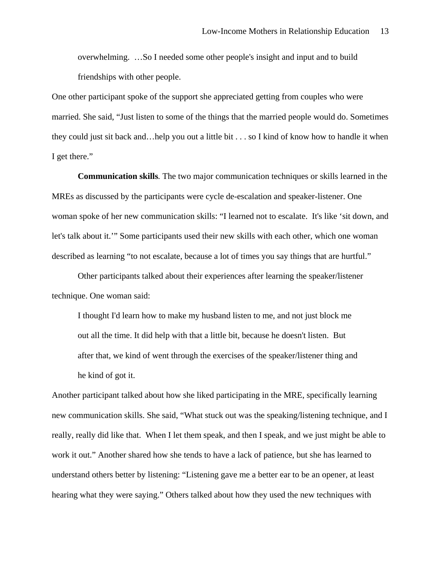overwhelming. …So I needed some other people's insight and input and to build friendships with other people.

One other participant spoke of the support she appreciated getting from couples who were married. She said, "Just listen to some of the things that the married people would do. Sometimes they could just sit back and…help you out a little bit . . . so I kind of know how to handle it when I get there."

**Communication skills***.* The two major communication techniques or skills learned in the MREs as discussed by the participants were cycle de-escalation and speaker-listener. One woman spoke of her new communication skills: "I learned not to escalate. It's like 'sit down, and let's talk about it.'" Some participants used their new skills with each other, which one woman described as learning "to not escalate, because a lot of times you say things that are hurtful."

 Other participants talked about their experiences after learning the speaker/listener technique. One woman said:

I thought I'd learn how to make my husband listen to me, and not just block me out all the time. It did help with that a little bit, because he doesn't listen. But after that, we kind of went through the exercises of the speaker/listener thing and he kind of got it.

Another participant talked about how she liked participating in the MRE, specifically learning new communication skills. She said, "What stuck out was the speaking/listening technique, and I really, really did like that. When I let them speak, and then I speak, and we just might be able to work it out." Another shared how she tends to have a lack of patience, but she has learned to understand others better by listening: "Listening gave me a better ear to be an opener, at least hearing what they were saying." Others talked about how they used the new techniques with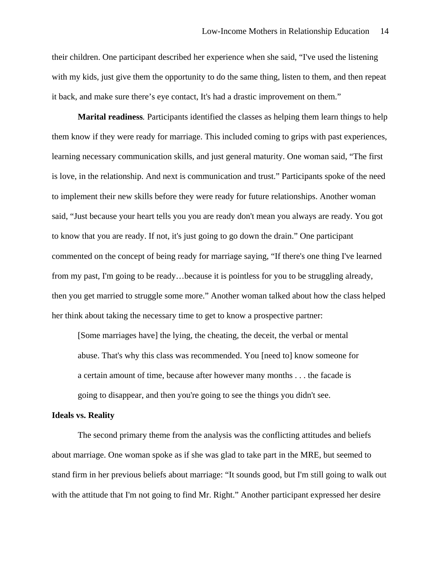their children. One participant described her experience when she said, "I've used the listening with my kids, just give them the opportunity to do the same thing, listen to them, and then repeat it back, and make sure there's eye contact, It's had a drastic improvement on them."

**Marital readiness***.* Participants identified the classes as helping them learn things to help them know if they were ready for marriage. This included coming to grips with past experiences, learning necessary communication skills, and just general maturity. One woman said, "The first is love, in the relationship. And next is communication and trust." Participants spoke of the need to implement their new skills before they were ready for future relationships. Another woman said, "Just because your heart tells you you are ready don't mean you always are ready. You got to know that you are ready. If not, it's just going to go down the drain." One participant commented on the concept of being ready for marriage saying, "If there's one thing I've learned from my past, I'm going to be ready…because it is pointless for you to be struggling already, then you get married to struggle some more." Another woman talked about how the class helped her think about taking the necessary time to get to know a prospective partner:

[Some marriages have] the lying, the cheating, the deceit, the verbal or mental abuse. That's why this class was recommended. You [need to] know someone for a certain amount of time, because after however many months . . . the facade is going to disappear, and then you're going to see the things you didn't see.

#### **Ideals vs. Reality**

The second primary theme from the analysis was the conflicting attitudes and beliefs about marriage. One woman spoke as if she was glad to take part in the MRE, but seemed to stand firm in her previous beliefs about marriage: "It sounds good, but I'm still going to walk out with the attitude that I'm not going to find Mr. Right." Another participant expressed her desire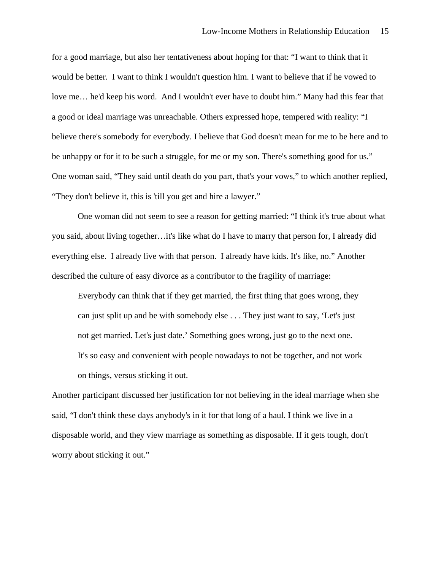for a good marriage, but also her tentativeness about hoping for that: "I want to think that it would be better. I want to think I wouldn't question him. I want to believe that if he vowed to love me… he'd keep his word. And I wouldn't ever have to doubt him." Many had this fear that a good or ideal marriage was unreachable. Others expressed hope, tempered with reality: "I believe there's somebody for everybody. I believe that God doesn't mean for me to be here and to be unhappy or for it to be such a struggle, for me or my son. There's something good for us." One woman said, "They said until death do you part, that's your vows," to which another replied, "They don't believe it, this is 'till you get and hire a lawyer."

One woman did not seem to see a reason for getting married: "I think it's true about what you said, about living together…it's like what do I have to marry that person for, I already did everything else. I already live with that person. I already have kids. It's like, no." Another described the culture of easy divorce as a contributor to the fragility of marriage:

Everybody can think that if they get married, the first thing that goes wrong, they can just split up and be with somebody else . . . They just want to say, 'Let's just not get married. Let's just date.' Something goes wrong, just go to the next one. It's so easy and convenient with people nowadays to not be together, and not work on things, versus sticking it out.

Another participant discussed her justification for not believing in the ideal marriage when she said, "I don't think these days anybody's in it for that long of a haul. I think we live in a disposable world, and they view marriage as something as disposable. If it gets tough, don't worry about sticking it out."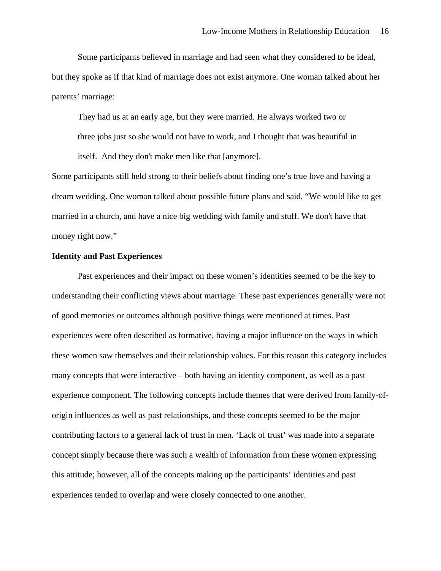Some participants believed in marriage and had seen what they considered to be ideal, but they spoke as if that kind of marriage does not exist anymore. One woman talked about her parents' marriage:

They had us at an early age, but they were married. He always worked two or three jobs just so she would not have to work, and I thought that was beautiful in itself. And they don't make men like that [anymore].

Some participants still held strong to their beliefs about finding one's true love and having a dream wedding. One woman talked about possible future plans and said, "We would like to get married in a church, and have a nice big wedding with family and stuff. We don't have that money right now."

#### **Identity and Past Experiences**

Past experiences and their impact on these women's identities seemed to be the key to understanding their conflicting views about marriage. These past experiences generally were not of good memories or outcomes although positive things were mentioned at times. Past experiences were often described as formative, having a major influence on the ways in which these women saw themselves and their relationship values. For this reason this category includes many concepts that were interactive – both having an identity component, as well as a past experience component. The following concepts include themes that were derived from family-oforigin influences as well as past relationships, and these concepts seemed to be the major contributing factors to a general lack of trust in men. 'Lack of trust' was made into a separate concept simply because there was such a wealth of information from these women expressing this attitude; however, all of the concepts making up the participants' identities and past experiences tended to overlap and were closely connected to one another.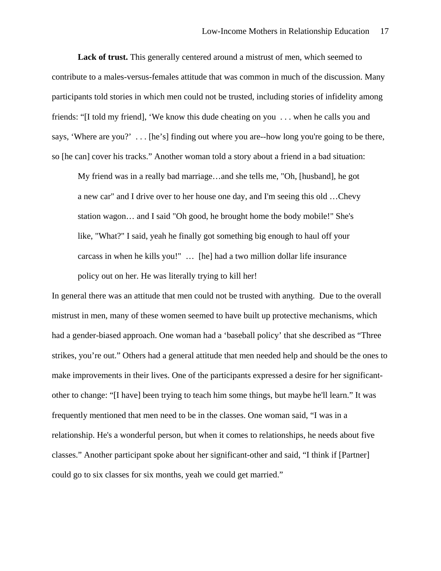Lack of trust. This generally centered around a mistrust of men, which seemed to contribute to a males-versus-females attitude that was common in much of the discussion. Many participants told stories in which men could not be trusted, including stories of infidelity among friends: "[I told my friend], 'We know this dude cheating on you . . . when he calls you and says, 'Where are you?' . . . [he's] finding out where you are--how long you're going to be there, so [he can] cover his tracks." Another woman told a story about a friend in a bad situation:

My friend was in a really bad marriage…and she tells me, "Oh, [husband], he got a new car" and I drive over to her house one day, and I'm seeing this old …Chevy station wagon… and I said "Oh good, he brought home the body mobile!" She's like, "What?" I said, yeah he finally got something big enough to haul off your carcass in when he kills you!" … [he] had a two million dollar life insurance policy out on her. He was literally trying to kill her!

In general there was an attitude that men could not be trusted with anything. Due to the overall mistrust in men, many of these women seemed to have built up protective mechanisms, which had a gender-biased approach. One woman had a 'baseball policy' that she described as "Three strikes, you're out." Others had a general attitude that men needed help and should be the ones to make improvements in their lives. One of the participants expressed a desire for her significantother to change: "[I have] been trying to teach him some things, but maybe he'll learn." It was frequently mentioned that men need to be in the classes. One woman said, "I was in a relationship. He's a wonderful person, but when it comes to relationships, he needs about five classes." Another participant spoke about her significant-other and said, "I think if [Partner] could go to six classes for six months, yeah we could get married."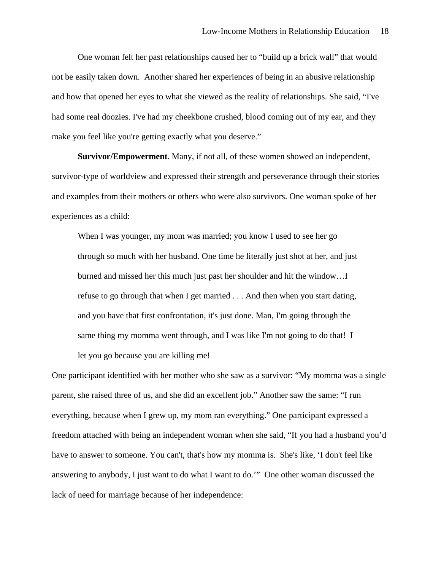One woman felt her past relationships caused her to "build up a brick wall" that would not be easily taken down. Another shared her experiences of being in an abusive relationship and how that opened her eyes to what she viewed as the reality of relationships. She said, "I've had some real doozies. I've had my cheekbone crushed, blood coming out of my ear, and they make you feel like you're getting exactly what you deserve."

**Survivor/Empowerment***.* Many, if not all, of these women showed an independent, survivor-type of worldview and expressed their strength and perseverance through their stories and examples from their mothers or others who were also survivors. One woman spoke of her experiences as a child:

When I was younger, my mom was married; you know I used to see her go through so much with her husband. One time he literally just shot at her, and just burned and missed her this much just past her shoulder and hit the window…I refuse to go through that when I get married . . . And then when you start dating, and you have that first confrontation, it's just done. Man, I'm going through the same thing my momma went through, and I was like I'm not going to do that! I let you go because you are killing me!

One participant identified with her mother who she saw as a survivor: "My momma was a single parent, she raised three of us, and she did an excellent job." Another saw the same: "I run everything, because when I grew up, my mom ran everything." One participant expressed a freedom attached with being an independent woman when she said, "If you had a husband you'd have to answer to someone. You can't, that's how my momma is. She's like, 'I don't feel like answering to anybody, I just want to do what I want to do.'" One other woman discussed the lack of need for marriage because of her independence: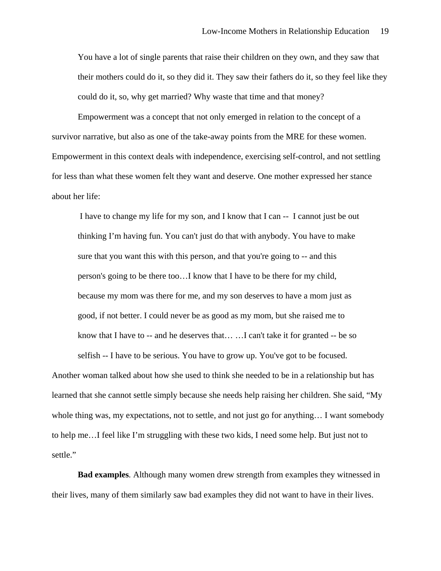You have a lot of single parents that raise their children on they own, and they saw that their mothers could do it, so they did it. They saw their fathers do it, so they feel like they could do it, so, why get married? Why waste that time and that money?

 Empowerment was a concept that not only emerged in relation to the concept of a survivor narrative, but also as one of the take-away points from the MRE for these women. Empowerment in this context deals with independence, exercising self-control, and not settling for less than what these women felt they want and deserve. One mother expressed her stance about her life:

 I have to change my life for my son, and I know that I can -- I cannot just be out thinking I'm having fun. You can't just do that with anybody. You have to make sure that you want this with this person, and that you're going to -- and this person's going to be there too…I know that I have to be there for my child, because my mom was there for me, and my son deserves to have a mom just as good, if not better. I could never be as good as my mom, but she raised me to know that I have to -- and he deserves that… …I can't take it for granted -- be so selfish -- I have to be serious. You have to grow up. You've got to be focused.

Another woman talked about how she used to think she needed to be in a relationship but has learned that she cannot settle simply because she needs help raising her children. She said, "My whole thing was, my expectations, not to settle, and not just go for anything... I want somebody to help me…I feel like I'm struggling with these two kids, I need some help. But just not to settle."

**Bad examples***.* Although many women drew strength from examples they witnessed in their lives, many of them similarly saw bad examples they did not want to have in their lives.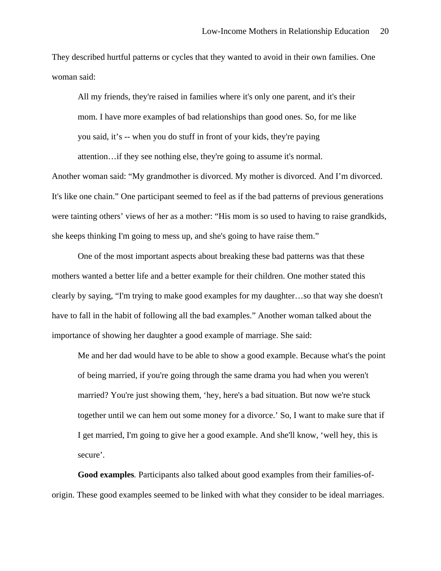They described hurtful patterns or cycles that they wanted to avoid in their own families. One woman said:

All my friends, they're raised in families where it's only one parent, and it's their mom. I have more examples of bad relationships than good ones. So, for me like you said, it's -- when you do stuff in front of your kids, they're paying attention…if they see nothing else, they're going to assume it's normal.

Another woman said: "My grandmother is divorced. My mother is divorced. And I'm divorced. It's like one chain." One participant seemed to feel as if the bad patterns of previous generations were tainting others' views of her as a mother: "His mom is so used to having to raise grandkids, she keeps thinking I'm going to mess up, and she's going to have raise them."

One of the most important aspects about breaking these bad patterns was that these mothers wanted a better life and a better example for their children. One mother stated this clearly by saying, "I'm trying to make good examples for my daughter…so that way she doesn't have to fall in the habit of following all the bad examples." Another woman talked about the importance of showing her daughter a good example of marriage. She said:

Me and her dad would have to be able to show a good example. Because what's the point of being married, if you're going through the same drama you had when you weren't married? You're just showing them, 'hey, here's a bad situation. But now we're stuck together until we can hem out some money for a divorce.' So, I want to make sure that if I get married, I'm going to give her a good example. And she'll know, 'well hey, this is secure'.

**Good examples***.* Participants also talked about good examples from their families-oforigin. These good examples seemed to be linked with what they consider to be ideal marriages.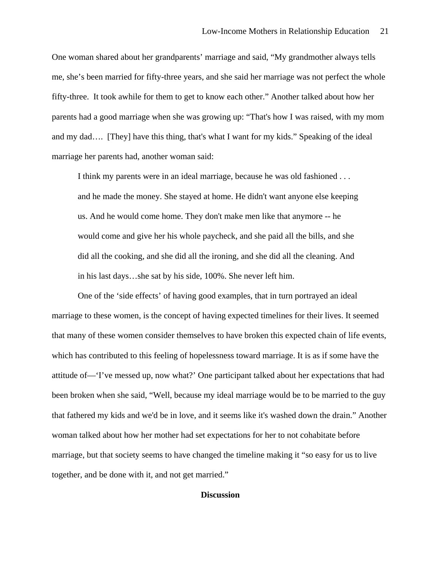One woman shared about her grandparents' marriage and said, "My grandmother always tells me, she's been married for fifty-three years, and she said her marriage was not perfect the whole fifty-three. It took awhile for them to get to know each other." Another talked about how her parents had a good marriage when she was growing up: "That's how I was raised, with my mom and my dad…. [They] have this thing, that's what I want for my kids." Speaking of the ideal marriage her parents had, another woman said:

I think my parents were in an ideal marriage, because he was old fashioned . . . and he made the money. She stayed at home. He didn't want anyone else keeping us. And he would come home. They don't make men like that anymore -- he would come and give her his whole paycheck, and she paid all the bills, and she did all the cooking, and she did all the ironing, and she did all the cleaning. And in his last days…she sat by his side, 100%. She never left him.

One of the 'side effects' of having good examples, that in turn portrayed an ideal marriage to these women, is the concept of having expected timelines for their lives. It seemed that many of these women consider themselves to have broken this expected chain of life events, which has contributed to this feeling of hopelessness toward marriage. It is as if some have the attitude of—'I've messed up, now what?' One participant talked about her expectations that had been broken when she said, "Well, because my ideal marriage would be to be married to the guy that fathered my kids and we'd be in love, and it seems like it's washed down the drain." Another woman talked about how her mother had set expectations for her to not cohabitate before marriage, but that society seems to have changed the timeline making it "so easy for us to live together, and be done with it, and not get married."

### **Discussion**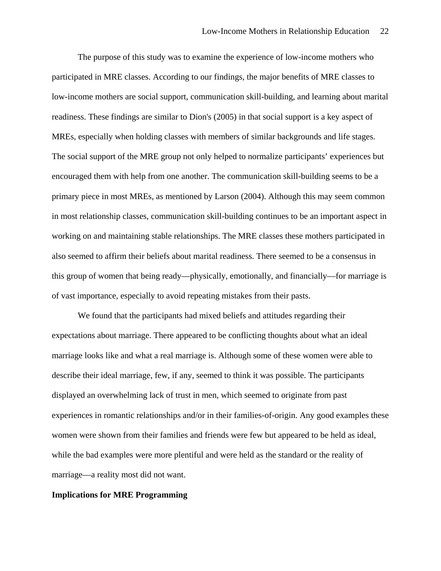The purpose of this study was to examine the experience of low-income mothers who participated in MRE classes. According to our findings, the major benefits of MRE classes to low-income mothers are social support, communication skill-building, and learning about marital readiness. These findings are similar to Dion's (2005) in that social support is a key aspect of MREs, especially when holding classes with members of similar backgrounds and life stages. The social support of the MRE group not only helped to normalize participants' experiences but encouraged them with help from one another. The communication skill-building seems to be a primary piece in most MREs, as mentioned by Larson (2004). Although this may seem common in most relationship classes, communication skill-building continues to be an important aspect in working on and maintaining stable relationships. The MRE classes these mothers participated in also seemed to affirm their beliefs about marital readiness. There seemed to be a consensus in this group of women that being ready—physically, emotionally, and financially—for marriage is of vast importance, especially to avoid repeating mistakes from their pasts.

 We found that the participants had mixed beliefs and attitudes regarding their expectations about marriage. There appeared to be conflicting thoughts about what an ideal marriage looks like and what a real marriage is. Although some of these women were able to describe their ideal marriage, few, if any, seemed to think it was possible. The participants displayed an overwhelming lack of trust in men, which seemed to originate from past experiences in romantic relationships and/or in their families-of-origin. Any good examples these women were shown from their families and friends were few but appeared to be held as ideal, while the bad examples were more plentiful and were held as the standard or the reality of marriage—a reality most did not want.

#### **Implications for MRE Programming**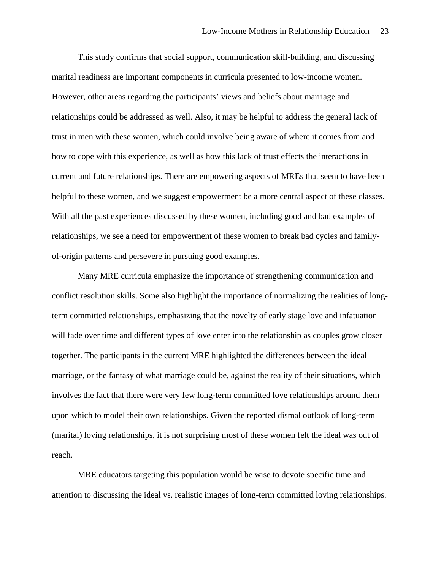This study confirms that social support, communication skill-building, and discussing marital readiness are important components in curricula presented to low-income women. However, other areas regarding the participants' views and beliefs about marriage and relationships could be addressed as well. Also, it may be helpful to address the general lack of trust in men with these women, which could involve being aware of where it comes from and how to cope with this experience, as well as how this lack of trust effects the interactions in current and future relationships. There are empowering aspects of MREs that seem to have been helpful to these women, and we suggest empowerment be a more central aspect of these classes. With all the past experiences discussed by these women, including good and bad examples of relationships, we see a need for empowerment of these women to break bad cycles and familyof-origin patterns and persevere in pursuing good examples.

Many MRE curricula emphasize the importance of strengthening communication and conflict resolution skills. Some also highlight the importance of normalizing the realities of longterm committed relationships, emphasizing that the novelty of early stage love and infatuation will fade over time and different types of love enter into the relationship as couples grow closer together. The participants in the current MRE highlighted the differences between the ideal marriage, or the fantasy of what marriage could be, against the reality of their situations, which involves the fact that there were very few long-term committed love relationships around them upon which to model their own relationships. Given the reported dismal outlook of long-term (marital) loving relationships, it is not surprising most of these women felt the ideal was out of reach.

MRE educators targeting this population would be wise to devote specific time and attention to discussing the ideal vs. realistic images of long-term committed loving relationships.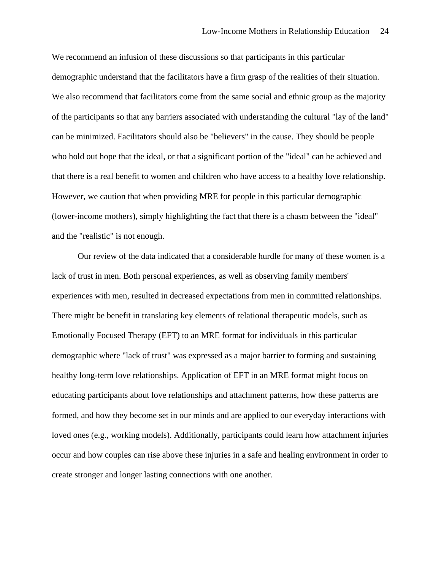We recommend an infusion of these discussions so that participants in this particular demographic understand that the facilitators have a firm grasp of the realities of their situation. We also recommend that facilitators come from the same social and ethnic group as the majority of the participants so that any barriers associated with understanding the cultural "lay of the land" can be minimized. Facilitators should also be "believers" in the cause. They should be people who hold out hope that the ideal, or that a significant portion of the "ideal" can be achieved and that there is a real benefit to women and children who have access to a healthy love relationship. However, we caution that when providing MRE for people in this particular demographic (lower-income mothers), simply highlighting the fact that there is a chasm between the "ideal" and the "realistic" is not enough.

Our review of the data indicated that a considerable hurdle for many of these women is a lack of trust in men. Both personal experiences, as well as observing family members' experiences with men, resulted in decreased expectations from men in committed relationships. There might be benefit in translating key elements of relational therapeutic models, such as Emotionally Focused Therapy (EFT) to an MRE format for individuals in this particular demographic where "lack of trust" was expressed as a major barrier to forming and sustaining healthy long-term love relationships. Application of EFT in an MRE format might focus on educating participants about love relationships and attachment patterns, how these patterns are formed, and how they become set in our minds and are applied to our everyday interactions with loved ones (e.g., working models). Additionally, participants could learn how attachment injuries occur and how couples can rise above these injuries in a safe and healing environment in order to create stronger and longer lasting connections with one another.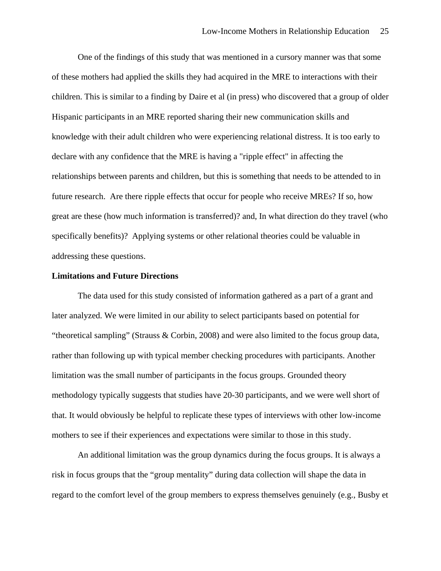One of the findings of this study that was mentioned in a cursory manner was that some of these mothers had applied the skills they had acquired in the MRE to interactions with their children. This is similar to a finding by Daire et al (in press) who discovered that a group of older Hispanic participants in an MRE reported sharing their new communication skills and knowledge with their adult children who were experiencing relational distress. It is too early to declare with any confidence that the MRE is having a "ripple effect" in affecting the relationships between parents and children, but this is something that needs to be attended to in future research. Are there ripple effects that occur for people who receive MREs? If so, how great are these (how much information is transferred)? and, In what direction do they travel (who specifically benefits)? Applying systems or other relational theories could be valuable in addressing these questions.

#### **Limitations and Future Directions**

 The data used for this study consisted of information gathered as a part of a grant and later analyzed. We were limited in our ability to select participants based on potential for "theoretical sampling" (Strauss & Corbin, 2008) and were also limited to the focus group data, rather than following up with typical member checking procedures with participants. Another limitation was the small number of participants in the focus groups. Grounded theory methodology typically suggests that studies have 20-30 participants, and we were well short of that. It would obviously be helpful to replicate these types of interviews with other low-income mothers to see if their experiences and expectations were similar to those in this study.

An additional limitation was the group dynamics during the focus groups. It is always a risk in focus groups that the "group mentality" during data collection will shape the data in regard to the comfort level of the group members to express themselves genuinely (e.g., Busby et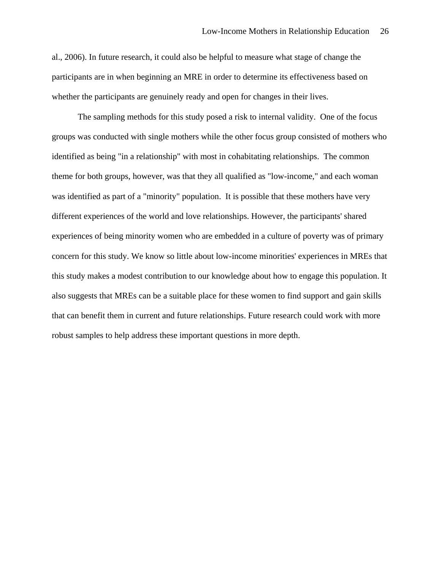al., 2006). In future research, it could also be helpful to measure what stage of change the participants are in when beginning an MRE in order to determine its effectiveness based on whether the participants are genuinely ready and open for changes in their lives.

The sampling methods for this study posed a risk to internal validity. One of the focus groups was conducted with single mothers while the other focus group consisted of mothers who identified as being "in a relationship" with most in cohabitating relationships. The common theme for both groups, however, was that they all qualified as "low-income," and each woman was identified as part of a "minority" population. It is possible that these mothers have very different experiences of the world and love relationships. However, the participants' shared experiences of being minority women who are embedded in a culture of poverty was of primary concern for this study. We know so little about low-income minorities' experiences in MREs that this study makes a modest contribution to our knowledge about how to engage this population. It also suggests that MREs can be a suitable place for these women to find support and gain skills that can benefit them in current and future relationships. Future research could work with more robust samples to help address these important questions in more depth.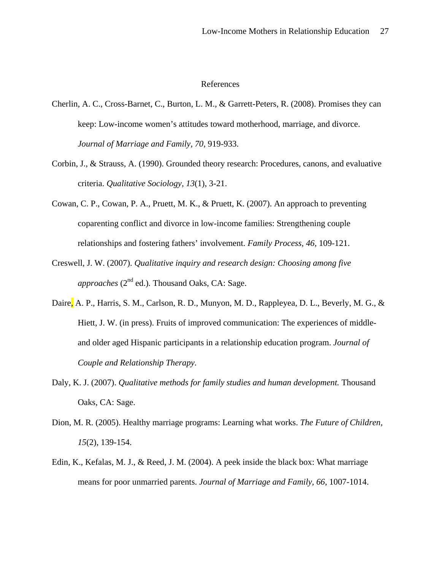#### References

- Cherlin, A. C., Cross-Barnet, C., Burton, L. M., & Garrett-Peters, R. (2008). Promises they can keep: Low-income women's attitudes toward motherhood, marriage, and divorce. *Journal of Marriage and Family, 70*, 919-933.
- Corbin, J., & Strauss, A. (1990). Grounded theory research: Procedures, canons, and evaluative criteria. *Qualitative Sociology, 13*(1), 3-21.
- Cowan, C. P., Cowan, P. A., Pruett, M. K., & Pruett, K. (2007). An approach to preventing coparenting conflict and divorce in low-income families: Strengthening couple relationships and fostering fathers' involvement. *Family Process, 46,* 109-121.
- Creswell, J. W. (2007). *Qualitative inquiry and research design: Choosing among five approaches* (2nd ed.)*.* Thousand Oaks, CA: Sage.
- Daire, A. P., Harris, S. M., Carlson, R. D., Munyon, M. D., Rappleyea, D. L., Beverly, M. G., & Hiett, J. W. (in press). Fruits of improved communication: The experiences of middleand older aged Hispanic participants in a relationship education program. *Journal of Couple and Relationship Therapy.*
- Daly, K. J. (2007). *Qualitative methods for family studies and human development*. Thousand Oaks, CA: Sage.
- Dion, M. R. (2005). Healthy marriage programs: Learning what works. *The Future of Children, 15*(2), 139-154.
- Edin, K., Kefalas, M. J., & Reed, J. M. (2004). A peek inside the black box: What marriage means for poor unmarried parents. *Journal of Marriage and Family, 66*, 1007-1014.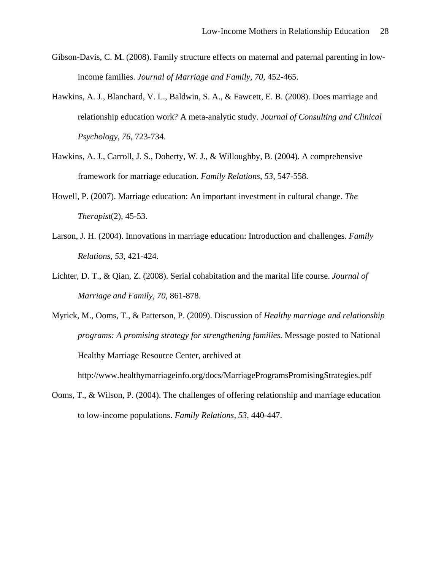- Gibson-Davis, C. M. (2008). Family structure effects on maternal and paternal parenting in lowincome families. *Journal of Marriage and Family, 70,* 452-465.
- Hawkins, A. J., Blanchard, V. L., Baldwin, S. A., & Fawcett, E. B. (2008). Does marriage and relationship education work? A meta-analytic study. *Journal of Consulting and Clinical Psychology, 76,* 723-734.
- Hawkins, A. J., Carroll, J. S., Doherty, W. J., & Willoughby, B. (2004). A comprehensive framework for marriage education. *Family Relations, 53*, 547-558.
- Howell, P. (2007). Marriage education: An important investment in cultural change. *The Therapist*(2), 45-53.
- Larson, J. H. (2004). Innovations in marriage education: Introduction and challenges. *Family Relations, 53*, 421-424.
- Lichter, D. T., & Qian, Z. (2008). Serial cohabitation and the marital life course. *Journal of Marriage and Family, 70*, 861-878.

Myrick, M., Ooms, T., & Patterson, P. (2009). Discussion of *Healthy marriage and relationship programs: A promising strategy for strengthening families.* Message posted to National Healthy Marriage Resource Center, archived at http://www.healthymarriageinfo.org/docs/MarriageProgramsPromisingStrategies.pdf

Ooms, T., & Wilson, P. (2004). The challenges of offering relationship and marriage education to low-income populations. *Family Relations, 53*, 440-447.